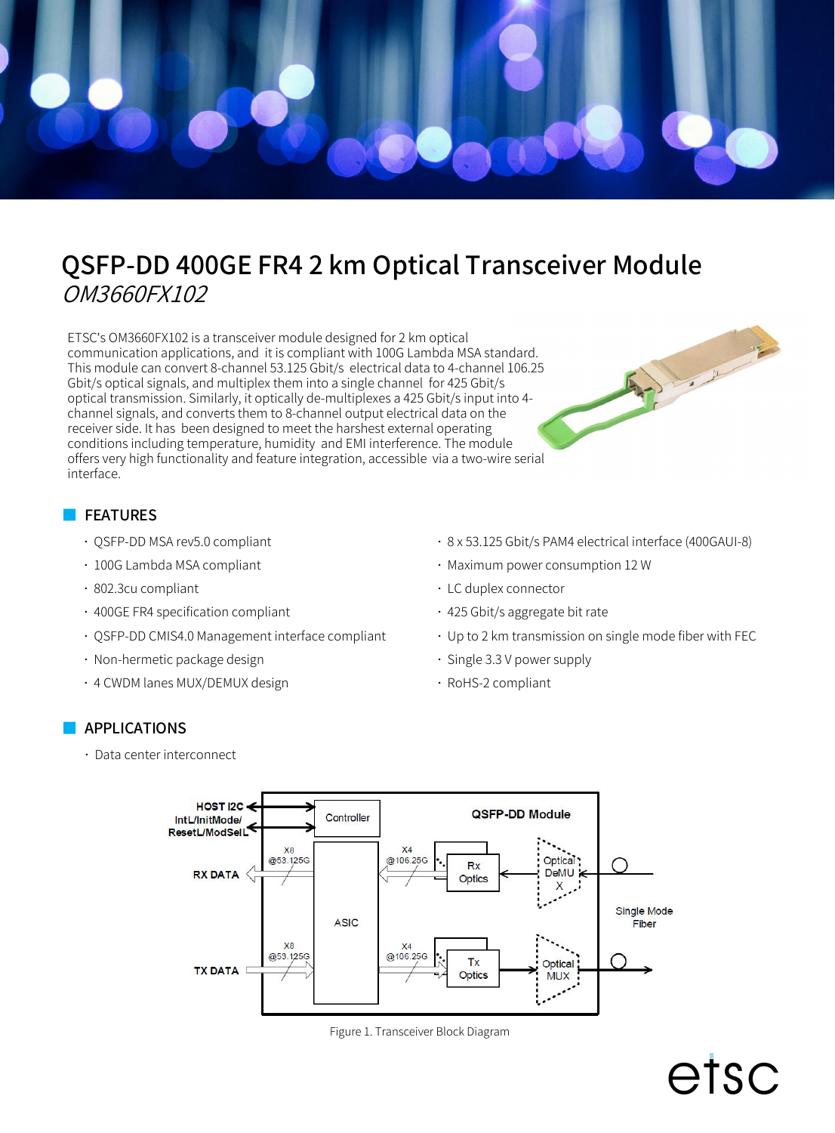

# QSFP-DD 400GE FR4 2 km Optical Transceiver Module OM3660FX102

ETSC's OM3660FX102 is a transceiver module designed for 2 km optical communication applications, and it is compliant with 100G Lambda MSA standard. This module can convert 8-channel 53.125 Gbit/s electrical data to 4-channel 106.25 Gbit/s optical signals, and multiplex them into a single channel for 425 Gbit/s optical transmission. Similarly, it optically de-multiplexes a 425 Gbit/s input into 4 channel signals, and converts them to 8-channel output electrical data on the receiver side. It has been designed to meet the harshest external operating conditions including temperature, humidity and EMI interference. The module offers very high functionality and feature integration,accessible via a two-wire serial interface.

#### **FEATURES**

- QSFP-DD MSA rev5.0 compliant
- 100G Lambda MSA compliant
- 802.3cu compliant
- 400GE FR4 specification compliant
- QSFP-DD CMIS4.0 Management interface compliant
- Non-hermetic package design
- 4 CWDM lanes MUX/DEMUX design

8 x 53.125 Gbit/s PAM4 electrical interface (400GAUI-8)

etsc

- Maximum power consumption 12 W
- LC duplex connector
- 425 Gbit/s aggregate bit rate
- Up to 2 km transmission on single mode fiber with FEC
- Single 3.3 V power supply
- RoHS-2 compliant

#### APPLICATIONS

Data center interconnect



Figure 1. Transceiver Block Diagram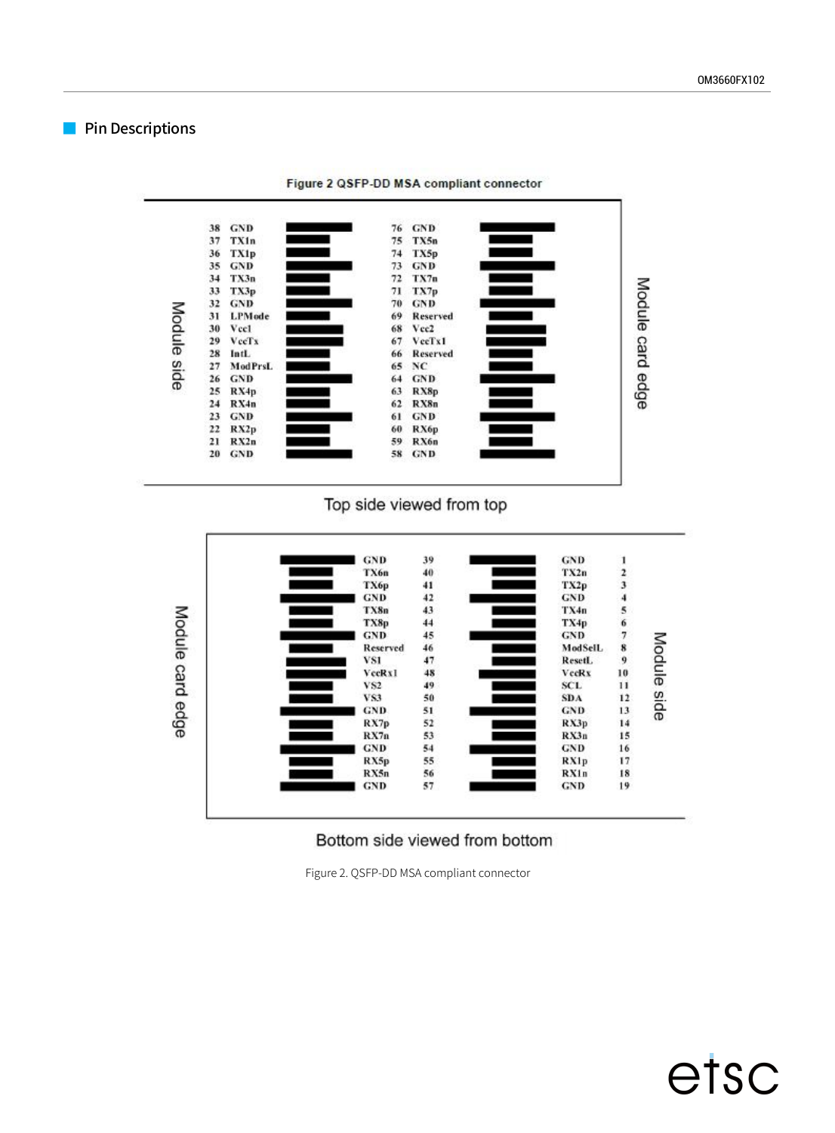#### **Pin Descriptions**



Figure 2 QSFP-DD MSA compliant connector

#### Top side viewed from top



#### Bottom side viewed from bottom

Figure 2. QSFP-DD MSA compliant connector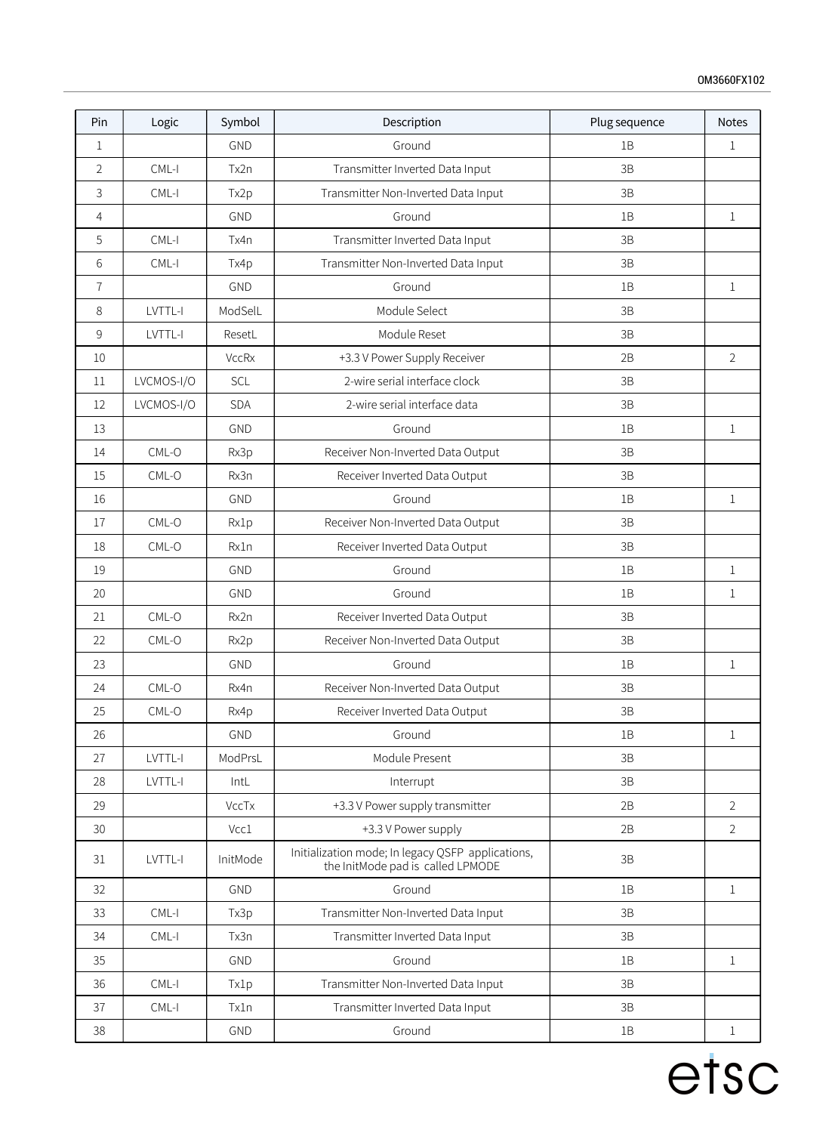| Pin            | Logic      | Symbol       | Description                                                                            | Plug sequence | <b>Notes</b>   |
|----------------|------------|--------------|----------------------------------------------------------------------------------------|---------------|----------------|
| $\mathbf{1}$   |            | <b>GND</b>   | Ground                                                                                 | 1B            | 1              |
| $\overline{2}$ | $CML-I$    | Tx2n         | Transmitter Inverted Data Input                                                        | 3B            |                |
| 3              | $CML-I$    | Tx2p         | Transmitter Non-Inverted Data Input                                                    | 3B            |                |
| $\overline{4}$ |            | GND          | Ground                                                                                 | 1B            | $\mathbf 1$    |
| 5              | $CML-I$    | Tx4n         | Transmitter Inverted Data Input                                                        | 3B            |                |
| 6              | $CML-I$    | Tx4p         | Transmitter Non-Inverted Data Input                                                    | 3B            |                |
| $\overline{1}$ |            | GND          | Ground                                                                                 | 1B            | 1              |
| 8              | LVTTL-I    | ModSelL      | Module Select                                                                          | 3B            |                |
| 9              | LVTTL-I    | ResetL       | Module Reset                                                                           | 3B            |                |
| 10             |            | <b>VccRx</b> | +3.3 V Power Supply Receiver                                                           | 2B            | $\overline{2}$ |
| 11             | LVCMOS-I/O | SCL          | 2-wire serial interface clock                                                          | 3B            |                |
| $12\,$         | LVCMOS-I/O | <b>SDA</b>   | 2-wire serial interface data                                                           | 3B            |                |
| 13             |            | <b>GND</b>   | Ground                                                                                 | 1B            | 1              |
| 14             | $CML-O$    | Rx3p         | Receiver Non-Inverted Data Output                                                      | 3B            |                |
| 15             | CML-O      | Rx3n         | Receiver Inverted Data Output                                                          | 3B            |                |
| 16             |            | <b>GND</b>   | Ground                                                                                 | 1B            | $\mathbf 1$    |
| 17             | $CML-O$    | Rx1p         | Receiver Non-Inverted Data Output                                                      | 3B            |                |
| 18             | CML-O      | Rx1n         | Receiver Inverted Data Output                                                          | $3\mathsf{B}$ |                |
| 19             |            | GND          | Ground                                                                                 | 1B            | $\mathbf 1$    |
| 20             |            | GND          | Ground                                                                                 | 1B            | $\mathbf 1$    |
| 21             | $CML-O$    | Rx2n         | Receiver Inverted Data Output                                                          | 3B            |                |
| 22             | CML-O      | Rx2p         | Receiver Non-Inverted Data Output                                                      | 3B            |                |
| 23             |            | <b>GND</b>   | Ground                                                                                 | 1B            | $\mathbf 1$    |
| 24             | $CML-O$    | Rx4n         | Receiver Non-Inverted Data Output                                                      | 3B            |                |
| 25             | CML-O      | Rx4p         | Receiver Inverted Data Output                                                          | 3B            |                |
| 26             |            | GND          | Ground                                                                                 | 1B            | $\mathbf{1}$   |
| 27             | LVTTL-I    | ModPrsL      | Module Present                                                                         | 3B            |                |
| 28             | LVTTL-I    | IntL         | Interrupt                                                                              | $3\mathsf{B}$ |                |
| 29             |            | VccTx        | +3.3 V Power supply transmitter                                                        | 2B            | $\overline{2}$ |
| 30             |            | Vcc1         | +3.3 V Power supply                                                                    | 2B            | $\overline{2}$ |
| 31             | LVTTL-I    | InitMode     | Initialization mode; In legacy QSFP applications,<br>the InitMode pad is called LPMODE | $3\mathsf{B}$ |                |
| 32             |            | GND          | Ground                                                                                 | 1B            | $\mathbf 1$    |
| 33             | $CML-I$    | Tx3p         | Transmitter Non-Inverted Data Input                                                    | 3B            |                |
| 34             | $CML-I$    | Tx3n         | Transmitter Inverted Data Input                                                        | 3B            |                |
| 35             |            | GND          | Ground                                                                                 | 1B            | 1              |
| 36             | $CML-I$    | Tx1p         | Transmitter Non-Inverted Data Input                                                    | $3\mathsf{B}$ |                |
| 37             | $CML-I$    | Tx1n         | Transmitter Inverted Data Input                                                        | $3\mathsf{B}$ |                |
| 38             |            | GND          | Ground                                                                                 | $1\mathsf{B}$ | $\mathbf{1}$   |
|                |            |              |                                                                                        |               |                |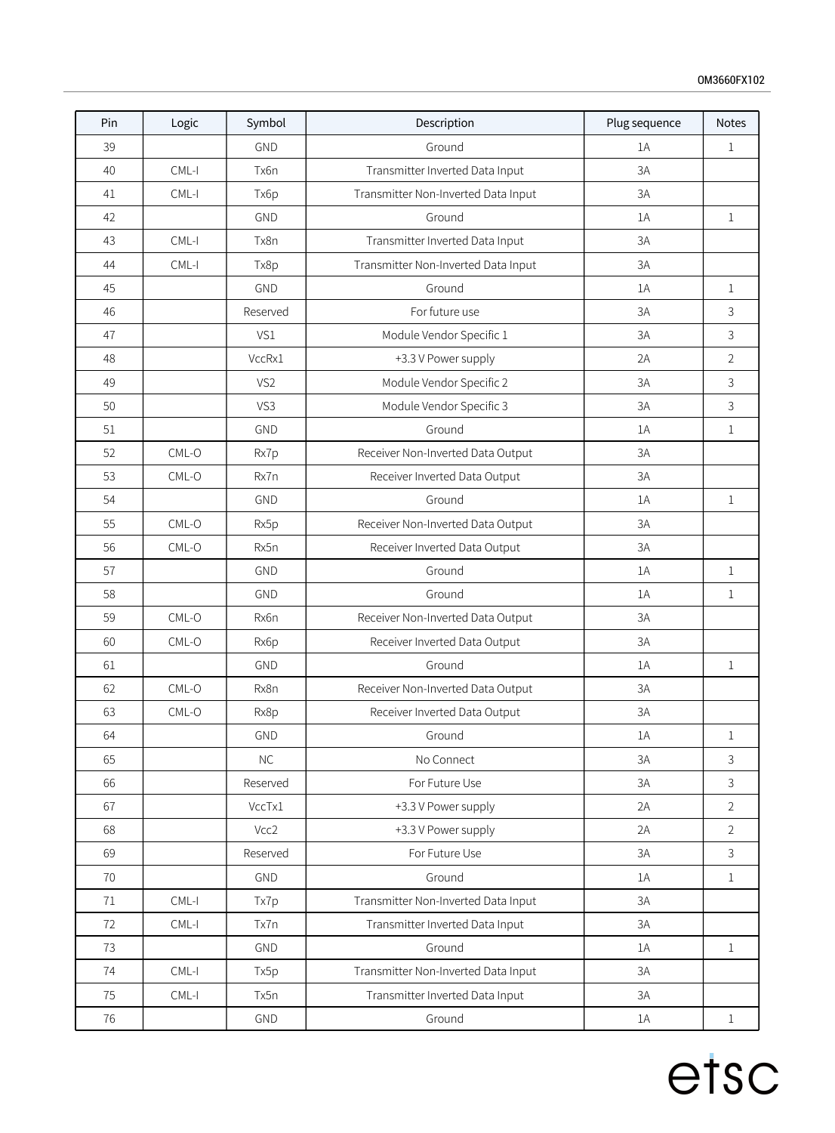| Pin    | Logic   | Symbol          | Description                         | Plug sequence | <b>Notes</b>   |
|--------|---------|-----------------|-------------------------------------|---------------|----------------|
| 39     |         | GND             | Ground                              | 1A            | $\mathbf{1}$   |
| 40     | $CML-I$ | Tx6n            | Transmitter Inverted Data Input     | 3A            |                |
| 41     | CML-I   | Tx6p            | Transmitter Non-Inverted Data Input | 3A            |                |
| 42     |         | GND             | Ground                              | 1A            | $\mathbf{1}$   |
| 43     | $CML-I$ | Tx8n            | Transmitter Inverted Data Input     | 3A            |                |
| 44     | $CML-I$ | Tx8p            | Transmitter Non-Inverted Data Input | 3A            |                |
| 45     |         | GND             | Ground                              | 1A            | 1              |
| 46     |         | Reserved        | For future use                      | 3A            | 3              |
| 47     |         | VS1             | Module Vendor Specific 1            | 3A            | 3              |
| 48     |         | VccRx1          | +3.3 V Power supply                 | 2A            | $\overline{2}$ |
| 49     |         | VS <sub>2</sub> | Module Vendor Specific 2            | 3A            | 3              |
| 50     |         | VS3             | Module Vendor Specific 3            | 3A            | 3              |
| $51\,$ |         | GND             | Ground                              | 1A            | $\mathbf 1$    |
| 52     | CML-O   | Rx7p            | Receiver Non-Inverted Data Output   | 3A            |                |
| 53     | CML-O   | Rx7n            | Receiver Inverted Data Output       | 3A            |                |
| 54     |         | GND             | Ground                              | $1\text{A}$   | $1\,$          |
| 55     | CML-O   | Rx5p            | Receiver Non-Inverted Data Output   | 3A            |                |
| 56     | $CML-O$ | Rx5n            | Receiver Inverted Data Output       | 3A            |                |
| 57     |         | GND             | Ground                              | 1A            | 1              |
| 58     |         | <b>GND</b>      | Ground                              | 1A            | 1              |
| 59     | $CML-O$ | Rx6n            | Receiver Non-Inverted Data Output   | 3A            |                |
| 60     | CML-O   | Rx6p            | Receiver Inverted Data Output       | 3A            |                |
| 61     |         | GND             | Ground                              | 1A            | $\mathbf 1$    |
| 62     | $CML-O$ | Rx8n            | Receiver Non-Inverted Data Output   | 3A            |                |
| 63     | CML-O   | Rx8p            | Receiver Inverted Data Output       | 3A            |                |
| 64     |         | GND             | Ground                              | $1\text{A}$   | $\,1$          |
| 65     |         | $\sf NC$        | No Connect                          | 3A            | 3              |
| 66     |         | Reserved        | For Future Use                      | 3A            | 3              |
| 67     |         | VccTx1          | +3.3 V Power supply                 | 2A            | $\overline{2}$ |
| 68     |         | Vcc2            | +3.3 V Power supply                 | 2A            | $\overline{2}$ |
| 69     |         | Reserved        | For Future Use                      | 3A            | $\mathsf{3}$   |
| $70\,$ |         | GND             | Ground                              | 1A            | $\mathbf{1}$   |
| 71     | $CML-I$ | Tx7p            | Transmitter Non-Inverted Data Input | 3A            |                |
| 72     | $CML-I$ | Tx7n            | Transmitter Inverted Data Input     | 3A            |                |
| 73     |         | GND             | Ground                              | $1A$          | $\mathbf{1}$   |
| $74$   | $CML-I$ | Tx5p            | Transmitter Non-Inverted Data Input | 3A            |                |
| 75     | $CML-I$ | Tx5n            | Transmitter Inverted Data Input     | 3A            |                |
| 76     |         | GND             | Ground                              | 1A            | $\mathbf{1}$   |
|        |         |                 |                                     |               |                |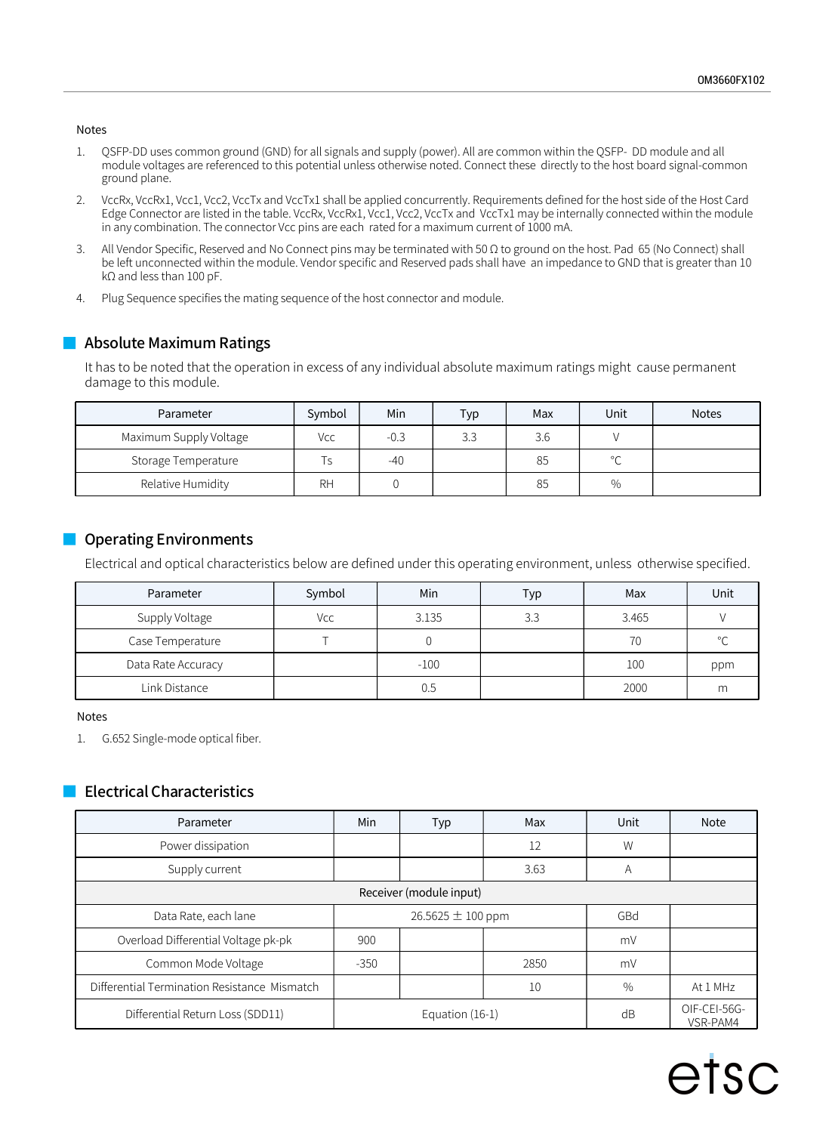#### Notes

- 1. QSFP-DD uses common ground (GND) for all signals and supply (power). All are common within the QSFP- DD module and all module voltages are referenced to this potential unless otherwise noted. Connect these directly to the host board signal-common ground plane.
- 2. VccRx, VccRx1, Vcc1, Vcc2, VccTx and VccTx1 shall be applied concurrently. Requirements defined for the host side of the Host Card Edge Connector are listed in the table. VccRx, VccRx1, Vcc1, Vcc2, VccTx and VccTx1 may be internally connected within the module in any combination. The connector Vcc pins are each rated for a maximum current of 1000 mA.
- 3. All Vendor Specific, Reserved and No Connect pins may be terminated with 50 Ω to ground on the host. Pad 65 (No Connect) shall be left unconnected within the module. Vendor specific and Reserved pads shall have an impedance to GND that is greater than 10 kΩ and less than 100 pF.
- 4. Plug Sequence specifies the mating sequence of the host connector and module.

It has to be noted that the operation in excess of any individual absolute maximum ratings might cause permanent **Absolute Maximum Ratings**<br>It has to be noted that the operation in excess of any individual absolu<br>damage to this module.

| Parameter              | Symbol    | Min    | Typ | Max | Unit         | <b>Notes</b> |
|------------------------|-----------|--------|-----|-----|--------------|--------------|
| Maximum Supply Voltage | Vcc       | $-0.3$ | 3.3 | 3.6 |              |              |
| Storage Temperature    |           | -40    |     | 85  | $\circ$<br>◡ |              |
| Relative Humidity      | <b>RH</b> |        |     | 85  | $\%$         |              |

#### Operating Environments

Electrical and optical characteristics below are defined under this operating environment, unless otherwise specified.

| Parameter          | Symbol | Min    | Typ | Max   | Unit         |
|--------------------|--------|--------|-----|-------|--------------|
| Supply Voltage     | Vcc    | 3.135  | 3.3 | 3.465 |              |
| Case Temperature   |        |        |     | 70    | $\circ$<br>╰ |
| Data Rate Accuracy |        | $-100$ |     | 100   | ppm          |
| Link Distance      |        | 0.5    |     | 2000  | m            |

#### Notes

1. G.652 Single-mode optical fiber.

#### Electrical Characteristics

| Parameter                                           | Min    | Typ                   | Max  | Unit                     | Note     |  |
|-----------------------------------------------------|--------|-----------------------|------|--------------------------|----------|--|
| Power dissipation                                   |        |                       | 12   | W                        |          |  |
| Supply current                                      |        |                       | 3.63 | A                        |          |  |
| Receiver (module input)                             |        |                       |      |                          |          |  |
| Data Rate, each lane                                |        | 26.5625 $\pm$ 100 ppm |      |                          |          |  |
| Overload Differential Voltage pk-pk                 | 900    |                       |      | mV                       |          |  |
| Common Mode Voltage                                 | $-350$ |                       | 2850 | mV                       |          |  |
| Differential Termination Resistance Mismatch        |        |                       | 10   | $\%$                     | At 1 MHz |  |
| Differential Return Loss (SDD11)<br>Equation (16-1) |        |                       | dB   | OIF-CEI-56G-<br>VSR-PAM4 |          |  |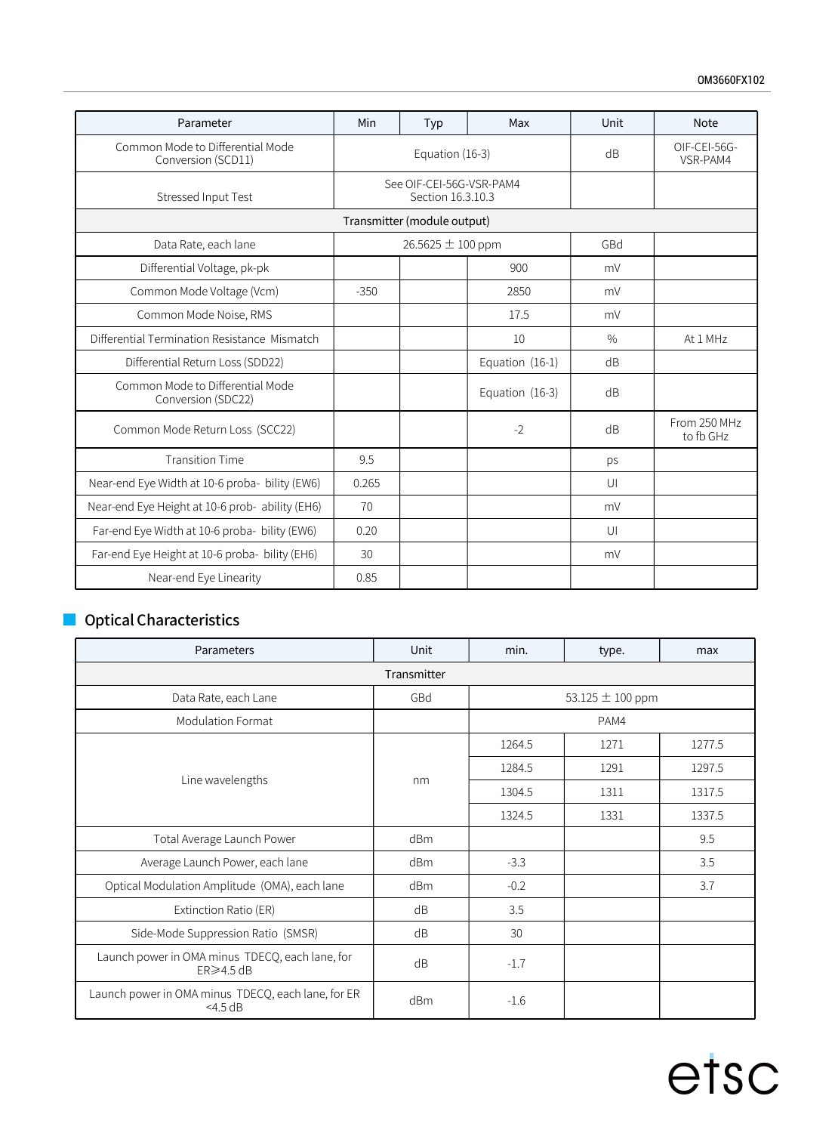| Parameter                                              | Min                                           | Typ                         | Max             | Unit          | <b>Note</b>               |
|--------------------------------------------------------|-----------------------------------------------|-----------------------------|-----------------|---------------|---------------------------|
| Common Mode to Differential Mode<br>Conversion (SCD11) | Equation (16-3)                               |                             |                 | dB            | OIF-CEI-56G-<br>VSR-PAM4  |
| Stressed Input Test                                    | See OIF-CEI-56G-VSR-PAM4<br>Section 16.3.10.3 |                             |                 |               |                           |
|                                                        |                                               | Transmitter (module output) |                 |               |                           |
| Data Rate, each lane                                   |                                               | 26.5625 ± 100 ppm           |                 | GBd           |                           |
| Differential Voltage, pk-pk                            |                                               |                             | 900             | mV            |                           |
| Common Mode Voltage (Vcm)                              | $-350$                                        |                             | 2850            | mV            |                           |
| Common Mode Noise, RMS                                 |                                               |                             | 17.5            | mV            |                           |
| Differential Termination Resistance Mismatch           |                                               |                             | 10              | $\frac{0}{0}$ | At 1 MHz                  |
| Differential Return Loss (SDD22)                       |                                               |                             | Equation (16-1) | dB            |                           |
| Common Mode to Differential Mode<br>Conversion (SDC22) |                                               |                             | Equation (16-3) | dB            |                           |
| Common Mode Return Loss (SCC22)                        |                                               |                             | $-2$            | dB            | From 250 MHz<br>to fb GHz |
| <b>Transition Time</b>                                 | 9.5                                           |                             |                 | ps            |                           |
| Near-end Eye Width at 10-6 proba- bility (EW6)         | 0.265                                         |                             |                 | U             |                           |
| Near-end Eye Height at 10-6 prob- ability (EH6)        | 70                                            |                             |                 | mV            |                           |
| Far-end Eye Width at 10-6 proba- bility (EW6)          | 0.20                                          |                             |                 | U             |                           |
| Far-end Eye Height at 10-6 proba- bility (EH6)         | 30                                            |                             |                 | mV            |                           |
| Near-end Eye Linearity                                 | 0.85                                          |                             |                 |               |                           |

## **Optical Characteristics**

| Parameters                                                          | Unit | min.           | type.                | max    |  |  |
|---------------------------------------------------------------------|------|----------------|----------------------|--------|--|--|
| Transmitter                                                         |      |                |                      |        |  |  |
| Data Rate, each Lane                                                | GBd  |                | 53.125 $\pm$ 100 ppm |        |  |  |
| <b>Modulation Format</b>                                            |      |                | PAM4                 |        |  |  |
|                                                                     |      | 1264.5         | 1271                 | 1277.5 |  |  |
|                                                                     |      | 1284.5<br>1291 | 1297.5               |        |  |  |
| Line wavelengths                                                    | nm   | 1304.5         | 1311                 | 1317.5 |  |  |
|                                                                     |      | 1324.5         | 1331                 | 1337.5 |  |  |
| Total Average Launch Power                                          | dBm  |                |                      | 9.5    |  |  |
| Average Launch Power, each lane                                     | dBm  | $-3.3$         |                      | 3.5    |  |  |
| Optical Modulation Amplitude (OMA), each lane                       | dBm  | $-0.2$         |                      | 3.7    |  |  |
| Extinction Ratio (ER)                                               | dB   | 3.5            |                      |        |  |  |
| Side-Mode Suppression Ratio (SMSR)                                  | dB   | 30             |                      |        |  |  |
| Launch power in OMA minus TDECQ, each lane, for<br>$ER \geq 4.5 dB$ | dB   | $-1.7$         |                      |        |  |  |
| Launch power in OMA minus TDECQ, each lane, for ER<br>$<$ 4.5 dB    | dBm  | $-1.6$         |                      |        |  |  |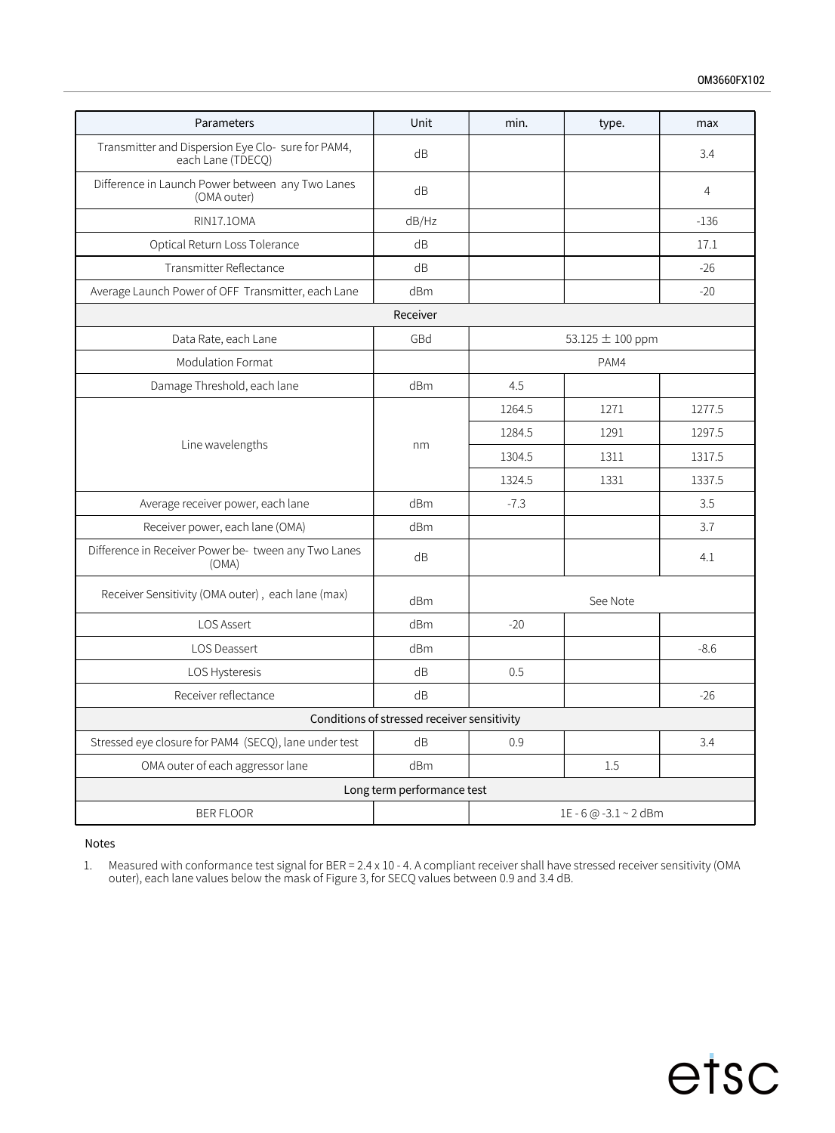| Parameters                                                              | Unit                       | min.   | type.                 | max            |  |
|-------------------------------------------------------------------------|----------------------------|--------|-----------------------|----------------|--|
| Transmitter and Dispersion Eye Clo- sure for PAM4,<br>each Lane (TDECQ) | dB                         |        |                       | 3.4            |  |
| Difference in Launch Power between any Two Lanes<br>(OMA outer)         | dB                         |        |                       | $\overline{4}$ |  |
| <b>RIN17.10MA</b>                                                       | dB/Hz                      |        |                       | $-136$         |  |
| Optical Return Loss Tolerance                                           | dB                         |        |                       | 17.1           |  |
| Transmitter Reflectance                                                 | dB                         |        |                       | $-26$          |  |
| Average Launch Power of OFF Transmitter, each Lane                      | dBm                        |        |                       | $-20$          |  |
|                                                                         | Receiver                   |        |                       |                |  |
| Data Rate, each Lane                                                    | GBd                        |        | 53.125 ± 100 ppm      |                |  |
| <b>Modulation Format</b>                                                |                            |        | PAM4                  |                |  |
| Damage Threshold, each lane                                             | dBm                        | 4.5    |                       |                |  |
|                                                                         |                            | 1264.5 | 1271                  | 1277.5         |  |
|                                                                         |                            | 1284.5 | 1291                  | 1297.5         |  |
| Line wavelengths                                                        | nm                         | 1304.5 | 1311                  | 1317.5         |  |
|                                                                         |                            | 1324.5 | 1331                  | 1337.5         |  |
| Average receiver power, each lane                                       | dBm                        | $-7.3$ |                       | 3.5            |  |
| Receiver power, each lane (OMA)                                         | d <sub>Bm</sub>            |        |                       | 3.7            |  |
| Difference in Receiver Power be- tween any Two Lanes<br>(OMA)           | dB                         |        |                       | 4.1            |  |
| Receiver Sensitivity (OMA outer), each lane (max)                       | dBm                        |        | See Note              |                |  |
| LOS Assert                                                              | dBm                        | $-20$  |                       |                |  |
| LOS Deassert                                                            | dBm                        |        |                       | $-8.6$         |  |
| LOS Hysteresis                                                          | dB                         | 0.5    |                       |                |  |
| Receiver reflectance                                                    | dB                         |        |                       | $-26$          |  |
| Conditions of stressed receiver sensitivity                             |                            |        |                       |                |  |
| Stressed eye closure for PAM4 (SECQ), lane under test                   | dB                         | 0.9    |                       | 3.4            |  |
| OMA outer of each aggressor lane                                        | dBm                        |        | 1.5                   |                |  |
|                                                                         | Long term performance test |        |                       |                |  |
| <b>BER FLOOR</b>                                                        |                            |        | 1E - 6 @ -3.1 ~ 2 dBm |                |  |

#### Notes

1. Measured with conformance test signal for BER = 2.4 x 10 - 4. A compliant receiver shall have stressed receiver sensitivity (OMA outer), each lane values below the mask of Figure 3,for SECQ values between 0.9 and 3.4 dB.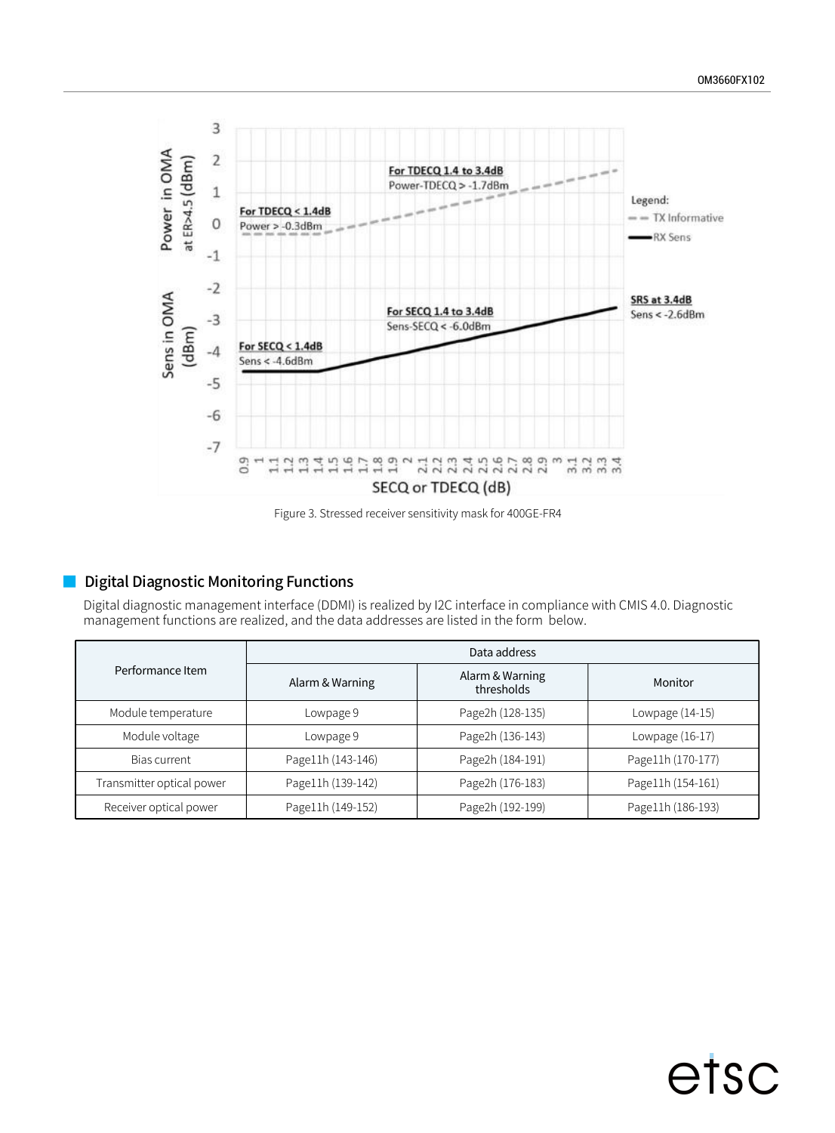

Figure 3. Stressed receiver sensitivity mask for 400GE-FR4

### Digital Diagnostic Monitoring Functions

Digital diagnostic management interface (DDMI) is realized by I2C interface in compliance with CMIS 4.0. Diagnostic management functions are realized, and the data addresses are listed in the form below.

|                           | Data address      |                               |                   |  |  |  |
|---------------------------|-------------------|-------------------------------|-------------------|--|--|--|
| Performance Item          | Alarm & Warning   | Alarm & Warning<br>thresholds | Monitor           |  |  |  |
| Module temperature        | Lowpage 9         | Page2h (128-135)              | Lowpage (14-15)   |  |  |  |
| Module voltage            | Lowpage 9         | Page2h (136-143)              | Lowpage (16-17)   |  |  |  |
| Bias current              | Page11h (143-146) | Page2h (184-191)              | Page11h (170-177) |  |  |  |
| Transmitter optical power | Page11h (139-142) | Page2h (176-183)              | Page11h (154-161) |  |  |  |
| Receiver optical power    | Page11h (149-152) | Page2h (192-199)              | Page11h (186-193) |  |  |  |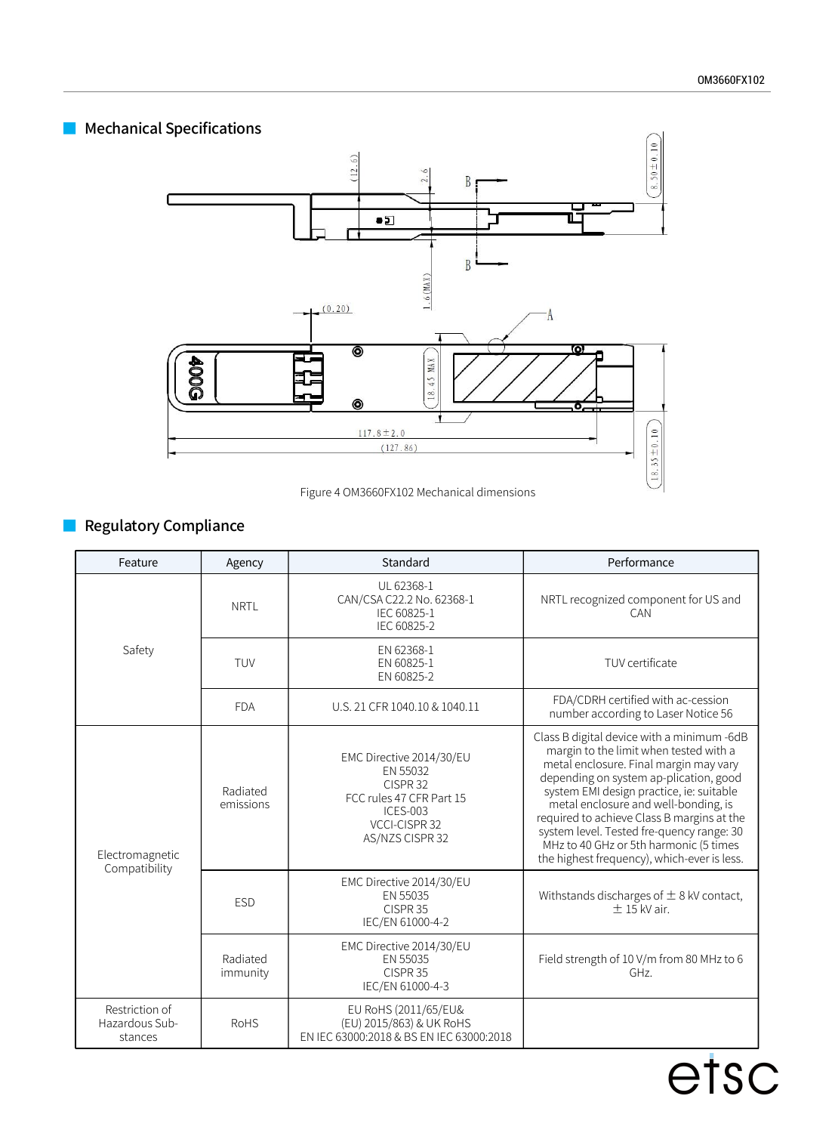### **Mechanical Specifications**



Figure 4 OM3660FX102 Mechanical dimensions

## **Regulatory Compliance**

| Feature                                     | Agency                | Standard                                                                                                                            | Performance                                                                                                                                                                                                                                                                                                                                                                                                                                      |
|---------------------------------------------|-----------------------|-------------------------------------------------------------------------------------------------------------------------------------|--------------------------------------------------------------------------------------------------------------------------------------------------------------------------------------------------------------------------------------------------------------------------------------------------------------------------------------------------------------------------------------------------------------------------------------------------|
|                                             | <b>NRTL</b>           | UL 62368-1<br>CAN/CSA C22.2 No. 62368-1<br>IEC 60825-1<br>IEC 60825-2                                                               | NRTL recognized component for US and<br>CAN                                                                                                                                                                                                                                                                                                                                                                                                      |
| Safety                                      | TUV                   | EN 62368-1<br>EN 60825-1<br>EN 60825-2                                                                                              | TUV certificate                                                                                                                                                                                                                                                                                                                                                                                                                                  |
|                                             | <b>FDA</b>            | U.S. 21 CFR 1040.10 & 1040.11                                                                                                       | FDA/CDRH certified with ac-cession<br>number according to Laser Notice 56                                                                                                                                                                                                                                                                                                                                                                        |
| Electromagnetic<br>Compatibility            | Radiated<br>emissions | EMC Directive 2014/30/EU<br>EN 55032<br>CISPR 32<br>FCC rules 47 CFR Part 15<br><b>ICES-003</b><br>VCCI-CISPR 32<br>AS/NZS CISPR 32 | Class B digital device with a minimum -6dB<br>margin to the limit when tested with a<br>metal enclosure. Final margin may vary<br>depending on system ap-plication, good<br>system EMI design practice, ie: suitable<br>metal enclosure and well-bonding, is<br>required to achieve Class B margins at the<br>system level. Tested fre-quency range: 30<br>MHz to 40 GHz or 5th harmonic (5 times<br>the highest frequency), which-ever is less. |
|                                             | <b>ESD</b>            | EMC Directive 2014/30/EU<br>EN 55035<br>CISPR <sub>35</sub><br>IEC/EN 61000-4-2                                                     | Withstands discharges of $\pm$ 8 kV contact,<br>$\pm$ 15 kV air.                                                                                                                                                                                                                                                                                                                                                                                 |
|                                             | Radiated<br>immunity  | EMC Directive 2014/30/EU<br>EN 55035<br>CISPR <sub>35</sub><br>IEC/EN 61000-4-3                                                     | Field strength of 10 V/m from 80 MHz to 6<br>GHz.                                                                                                                                                                                                                                                                                                                                                                                                |
| Restriction of<br>Hazardous Sub-<br>stances | <b>RoHS</b>           | EU RoHS (2011/65/EU&<br>(EU) 2015/863) & UK RoHS<br>EN IEC 63000:2018 & BS EN IEC 63000:2018                                        |                                                                                                                                                                                                                                                                                                                                                                                                                                                  |